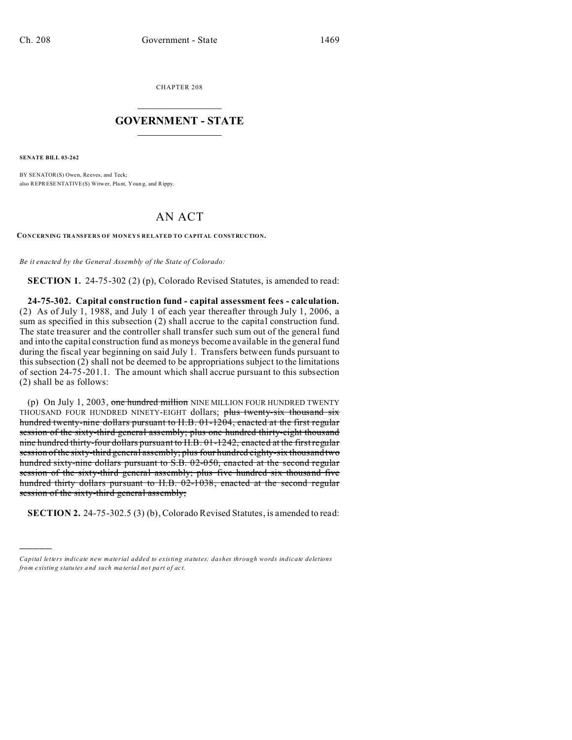CHAPTER 208  $\overline{\phantom{a}}$  , where  $\overline{\phantom{a}}$ 

## **GOVERNMENT - STATE**  $\_$   $\_$   $\_$   $\_$   $\_$   $\_$   $\_$   $\_$   $\_$

**SENATE BILL 03-262**

)))))

BY SENATOR(S) Owen, Reeves, and Teck; also REPRESENTATIVE(S) Witwer, Plant, Youn g, and Rippy.

## AN ACT

**CONCERNING TRANSFERS OF MONEYS RELATED TO CAPITAL CONSTRUCTION.**

*Be it enacted by the General Assembly of the State of Colorado:*

**SECTION 1.** 24-75-302 (2) (p), Colorado Revised Statutes, is amended to read:

**24-75-302. Capital construction fund - capital assessment fees - calculation.** (2) As of July 1, 1988, and July 1 of each year thereafter through July 1, 2006, a sum as specified in this subsection (2) shall accrue to the capital construction fund. The state treasurer and the controller shall transfer such sum out of the general fund and into the capital construction fund as moneys become available in the general fund during the fiscal year beginning on said July 1. Transfers between funds pursuant to this subsection (2) shall not be deemed to be appropriations subject to the limitations of section 24-75-201.1. The amount which shall accrue pursuant to this subsection (2) shall be as follows:

(p) On July 1, 2003, one hundred million NINE MILLION FOUR HUNDRED TWENTY THOUSAND FOUR HUNDRED NINETY-EIGHT dollars; plus twenty-six thousand six hundred twenty-nine dollars pursuant to H.B. 01-1204, enacted at the first regular session of the sixty-third general assembly; plus one hundred thirty-eight thousand nine hundred thirty-four dollars pursuant to H.B. 01-1242, enacted at the first regular session of the sixty-third general assembly; plus four hundred eighty-six thousand two hundred sixty-nine dollars pursuant to S.B. 02-050, enacted at the second regular session of the sixty-third general assembly; plus five hundred six thousand five hundred thirty dollars pursuant to H.B. 02-1038, enacted at the second regular session of the sixty-third general assembly;

**SECTION 2.** 24-75-302.5 (3) (b), Colorado Revised Statutes, is amended to read:

*Capital letters indicate new material added to existing statutes; dashes through words indicate deletions from e xistin g statu tes a nd such ma teria l no t pa rt of ac t.*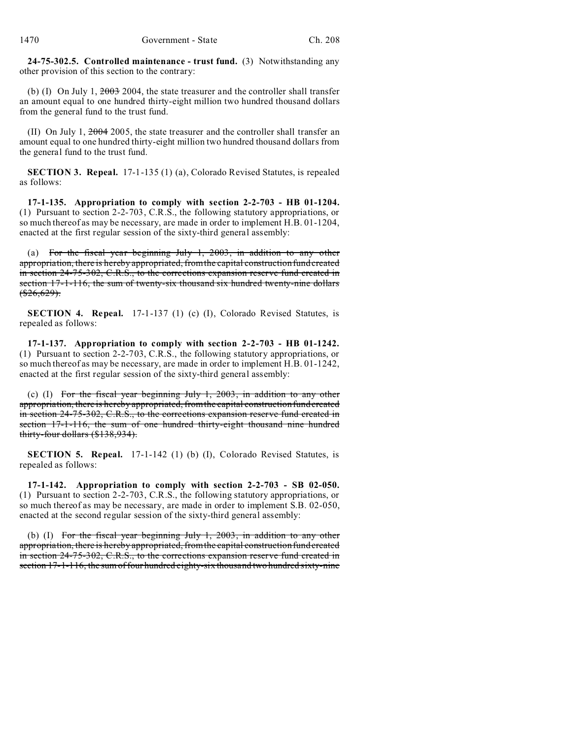**24-75-302.5. Controlled maintenance - trust fund.** (3) Notwithstanding any other provision of this section to the contrary:

(b) (I) On July 1, 2003 2004, the state treasurer and the controller shall transfer an amount equal to one hundred thirty-eight million two hundred thousand dollars from the general fund to the trust fund.

(II) On July 1,  $2004$  2005, the state treasurer and the controller shall transfer an amount equal to one hundred thirty-eight million two hundred thousand dollars from the general fund to the trust fund.

**SECTION 3. Repeal.** 17-1-135 (1) (a), Colorado Revised Statutes, is repealed as follows:

**17-1-135. Appropriation to comply with section 2-2-703 - HB 01-1204.** (1) Pursuant to section 2-2-703, C.R.S., the following statutory appropriations, or so much thereof as may be necessary, are made in order to implement H.B. 01-1204, enacted at the first regular session of the sixty-third general assembly:

(a) For the fiscal year beginning July 1, 2003, in addition to any other appropriation, there is hereby appropriated, from the capital construction fund created in section 24-75-302, C.R.S., to the corrections expansion reserve fund created in section 17-1-116, the sum of twenty-six thousand six hundred twenty-nine dollars  $(*26,629).$ 

**SECTION 4. Repeal.** 17-1-137 (1) (c) (I), Colorado Revised Statutes, is repealed as follows:

**17-1-137. Appropriation to comply with section 2-2-703 - HB 01-1242.** (1) Pursuant to section 2-2-703, C.R.S., the following statutory appropriations, or so much thereof as may be necessary, are made in order to implement H.B. 01-1242, enacted at the first regular session of the sixty-third general assembly:

(c) (I) For the fiscal year beginning July 1, 2003, in addition to any other appropriation, there is hereby appropriated, from the capital construction fund created in section 24-75-302, C.R.S., to the corrections expansion reserve fund created in section 17-1-116, the sum of one hundred thirty-eight thousand nine hundred thirty-four dollars (\$138,934).

**SECTION 5. Repeal.** 17-1-142 (1) (b) (I), Colorado Revised Statutes, is repealed as follows:

**17-1-142. Appropriation to comply with section 2-2-703 - SB 02-050.** (1) Pursuant to section 2-2-703, C.R.S., the following statutory appropriations, or so much thereof as may be necessary, are made in order to implement S.B. 02-050, enacted at the second regular session of the sixty-third general assembly:

(b) (I) For the fiscal year beginning July 1, 2003, in addition to any other appropriation, there is hereby appropriated, from the capital construction fund created in section 24-75-302, C.R.S., to the corrections expansion reserve fund created in section 17-1-116, the sum of four hundred eighty-six thousand two hundred sixty-nine